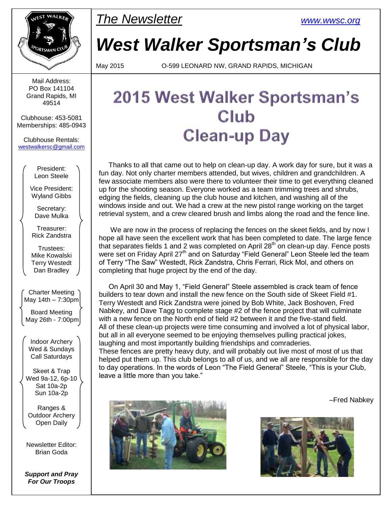

Mail Address: PO Box 141104 Grand Rapids, MI 49514

Clubhouse: 453-5081 Memberships: 485-0943

Clubhouse Rentals: [westwalkersc@gmail.com](mailto:westwalkersc@gmail.com)

> President: Leon Steele

Vice President: Wyland Gibbs

Secretary: Dave Mulka

Treasurer: Rick Zandstra

Trustees: Mike Kowalski Terry Westedt Dan Bradley

Charter Meeting May 14th  $-7:30$ pm

Board Meeting May 26th - 7:00pm

Indoor Archery Wed & Sundays Call Saturdays

Skeet & Trap Wed 9a-12, 6p-10 Sat 10a-2p Sun 10a-2p

Ranges & Outdoor Archery Open Daily

Newsletter Editor: Brian Goda

*Support and Pray For Our Troops*

## *The Newsletter [www.wwsc.org](http://www.wwsc.org/)*

*West Walker Sportsman's Club*

May 2015 O-599 LEONARD NW, GRAND RAPIDS, MICHIGAN

# 2015 West Walker Sportsman's Club **Clean-up Day**

 Thanks to all that came out to help on clean-up day. A work day for sure, but it was a fun day. Not only charter members attended, but wives, children and grandchildren. A few associate members also were there to volunteer their time to get everything cleaned up for the shooting season. Everyone worked as a team trimming trees and shrubs, edging the fields, cleaning up the club house and kitchen, and washing all of the windows inside and out. We had a crew at the new pistol range working on the target retrieval system, and a crew cleared brush and limbs along the road and the fence line.

 We are now in the process of replacing the fences on the skeet fields, and by now I hope all have seen the excellent work that has been completed to date. The large fence that separates fields 1 and 2 was completed on April  $28<sup>th</sup>$  on clean-up day. Fence posts were set on Friday April 27<sup>th</sup> and on Saturday "Field General" Leon Steele led the team of Terry "The Saw" Westedt, Rick Zandstra, Chris Ferrari, Rick Mol, and others on completing that huge project by the end of the day.

 On April 30 and May 1, "Field General" Steele assembled is crack team of fence builders to tear down and install the new fence on the South side of Skeet Field #1. Terry Westedt and Rick Zandstra were joined by Bob White, Jack Boshoven, Fred Nabkey, and Dave Tagg to complete stage #2 of the fence project that will culminate with a new fence on the North end of field #2 between it and the five-stand field. All of these clean-up projects were time consuming and involved a lot of physical labor, but all in all everyone seemed to be enjoying themselves pulling practical jokes, laughing and most importantly building friendships and comraderies.

These fences are pretty heavy duty, and will probably out live most of most of us that helped put them up. This club belongs to all of us, and we all are responsible for the day to day operations. In the words of Leon "The Field General" Steele, "This is your Club, leave a little more than you take."





–Fred Nabkey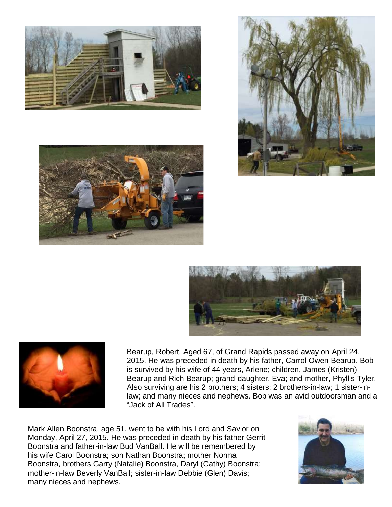









Bearup, Robert, Aged 67, of Grand Rapids passed away on April 24, 2015. He was preceded in death by his father, Carrol Owen Bearup. Bob is survived by his wife of 44 years, Arlene; children, James (Kristen) Bearup and Rich Bearup; grand-daughter, Eva; and mother, Phyllis Tyler. Also surviving are his 2 brothers; 4 sisters; 2 brothers-in-law; 1 sister-inlaw; and many nieces and nephews. Bob was an avid outdoorsman and a "Jack of All Trades".

Mark Allen Boonstra, age 51, went to be with his Lord and Savior on Monday, April 27, 2015. He was preceded in death by his father Gerrit Boonstra and father-in-law Bud VanBall. He will be remembered by his wife Carol Boonstra; son Nathan Boonstra; mother Norma Boonstra, brothers Garry (Natalie) Boonstra, Daryl (Cathy) Boonstra; mother-in-law Beverly VanBall; sister-in-law Debbie (Glen) Davis; many nieces and nephews.

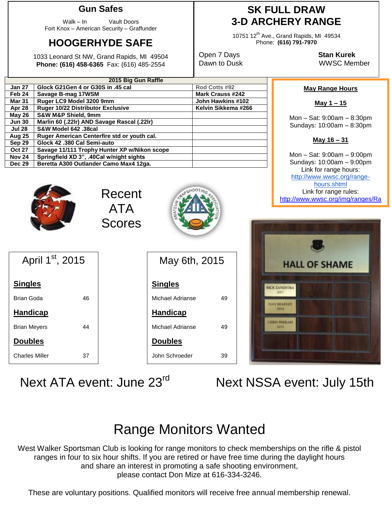#### **Gun Safes**

Walk – In Vault Doors Fort Knox – American Security – Graffunder

## **HOOGERHYDE SAFE**

1033 Leonard St NW, Grand Rapids, MI 49504 **Phone: (616) 458-6365** Fax: (616) 485-2554

### **SK FULL DRAW 3-D ARCHERY RANGE**

10751 12<sup>th</sup> Ave., Grand Rapids, MI 49534 Phone: **(616) 791-7970**

Open 7 Days **Stan Kurek** Dawn to Dusk WWSC Member

| 2015 Big Gun Raffle<br><b>Jan 27</b><br>Rod Cotts #92<br>Glock G21Gen 4 or G30S in .45 cal<br>Feb 24<br>Mark Crauss #242<br>Savage B-mag 17WSM<br>Ruger LC9 Model 3200 9mm<br><b>Mar 31</b><br>John Hawkins #102<br>Ruger 10/22 Distributor Exclusive<br>Kelvin Sikkema #266<br>Apr 28<br><b>S&amp;W M&amp;P Shield, 9mm</b><br>May 26<br>Marlin 60 (.22lr) AND Savage Rascal (.22lr)<br><b>Jun 30</b><br>S&W Model 642 .38cal<br><b>Jul 28</b><br>Ruger American Centerfire std or youth cal.<br><b>Aug 25</b><br>Glock 42 .380 Cal Semi-auto<br>Sep 29<br>Savage 11/111 Trophy Hunter XP w/Nikon scope<br><b>Oct 27</b><br>Springfield XD 3", .40Cal w/night sights<br><b>Nov 24</b> |               |                                        |  |  |  |  |
|----------------------------------------------------------------------------------------------------------------------------------------------------------------------------------------------------------------------------------------------------------------------------------------------------------------------------------------------------------------------------------------------------------------------------------------------------------------------------------------------------------------------------------------------------------------------------------------------------------------------------------------------------------------------------------------|---------------|----------------------------------------|--|--|--|--|
|                                                                                                                                                                                                                                                                                                                                                                                                                                                                                                                                                                                                                                                                                        |               |                                        |  |  |  |  |
|                                                                                                                                                                                                                                                                                                                                                                                                                                                                                                                                                                                                                                                                                        |               |                                        |  |  |  |  |
|                                                                                                                                                                                                                                                                                                                                                                                                                                                                                                                                                                                                                                                                                        |               |                                        |  |  |  |  |
|                                                                                                                                                                                                                                                                                                                                                                                                                                                                                                                                                                                                                                                                                        |               |                                        |  |  |  |  |
|                                                                                                                                                                                                                                                                                                                                                                                                                                                                                                                                                                                                                                                                                        |               |                                        |  |  |  |  |
|                                                                                                                                                                                                                                                                                                                                                                                                                                                                                                                                                                                                                                                                                        |               |                                        |  |  |  |  |
|                                                                                                                                                                                                                                                                                                                                                                                                                                                                                                                                                                                                                                                                                        |               |                                        |  |  |  |  |
|                                                                                                                                                                                                                                                                                                                                                                                                                                                                                                                                                                                                                                                                                        |               |                                        |  |  |  |  |
|                                                                                                                                                                                                                                                                                                                                                                                                                                                                                                                                                                                                                                                                                        |               |                                        |  |  |  |  |
|                                                                                                                                                                                                                                                                                                                                                                                                                                                                                                                                                                                                                                                                                        |               |                                        |  |  |  |  |
|                                                                                                                                                                                                                                                                                                                                                                                                                                                                                                                                                                                                                                                                                        |               |                                        |  |  |  |  |
|                                                                                                                                                                                                                                                                                                                                                                                                                                                                                                                                                                                                                                                                                        |               |                                        |  |  |  |  |
|                                                                                                                                                                                                                                                                                                                                                                                                                                                                                                                                                                                                                                                                                        | <b>Dec 29</b> | Beretta A300 Outlander Camo Max4 12ga. |  |  |  |  |

Recent

ATA

Scores

#### **May Range Hours**

**May 1 – 15**

Mon – Sat: 9:00am – 8:30pm Sundays: 10:00am – 8:30pm



Mon – Sat: 9:00am – 9:00pm Sundays: 10:00am – 9:00pm Link for range hours: [http://www.wwsc.org/range](http://www.wwsc.org/range-hours.shtml)[hours.shtml](http://www.wwsc.org/range-hours.shtml) Link for range rules: http://www.wwsc.org/img/ranges/Ra

ngeRules.pdf

| April 1st, 2015 |    |  |  |  |  |  |
|-----------------|----|--|--|--|--|--|
| <b>Singles</b>  |    |  |  |  |  |  |
| Brian Goda      | 46 |  |  |  |  |  |
| <b>Handicap</b> |    |  |  |  |  |  |
| Brian Meyers    | 44 |  |  |  |  |  |
| <b>Doubles</b>  |    |  |  |  |  |  |
| Charles Miller  | 37 |  |  |  |  |  |

May 6th, 2015 **Singles** Michael Adrianse 49 **Handicap** Michael Adrianse 49 **Doubles** John Schroeder 39



Next ATA event: June 23<sup>rd</sup>

Next NSSA event: July 15th

# Range Monitors Wanted

West Walker Sportsman Club is looking for range monitors to check memberships on the rifle & pistol ranges in four to six hour shifts. If you are retired or have free time during the daylight hours and share an interest in promoting a safe shooting environment, please contact Don Mize at 616-334-3246.

These are voluntary positions. Qualified monitors will receive free annual membership renewal.